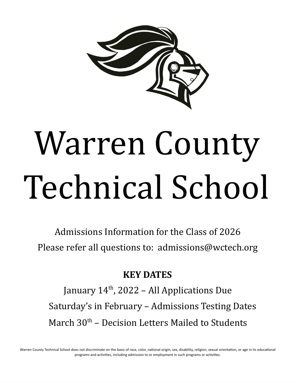

# Warren County Technical School

Admissions Information for the Class of 2026 Please refer all questions to: admissions@wctech.org

# **KEY DATES**

January 14<sup>th</sup>, 2022 - All Applications Due Saturday's in February – Admissions Testing Dates March 30<sup>th</sup> - Decision Letters Mailed to Students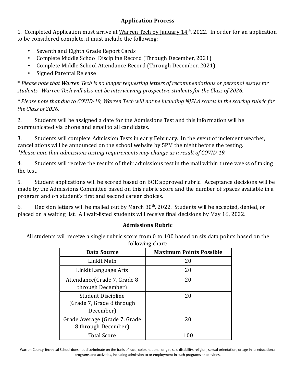# **Application Process**

1. Completed Application must arrive at Warren Tech by January  $14<sup>th</sup>$ , 2022. In order for an application to be considered complete, it must include the following:

- Seventh and Eighth Grade Report Cards
- Complete Middle School Discipline Record (Through December, 2021)
- Complete Middle School Attendance Record (Through December, 2021)
- Signed Parental Release

\* *Please note that Warren Tech is no longer requesting letters of recommendations or personal essays for students. Warren Tech will also not be interviewing prospective students for the Class of 2026.*

\* Please note that due to COVID-19, Warren Tech will not be including NJSLA scores in the scoring rubric for *the Class of 2026.*

2. Students will be assigned a date for the Admissions Test and this information will be communicated via phone and email to all candidates.

3. Students will complete Admission Tests in early February. In the event of inclement weather, cancellations will be announced on the school website by 5PM the night before the testing. *\*Please note that admissions testing requirements may change as a result of COVID-19.*

4. Students will receive the results of their admissions test in the mail within three weeks of taking the test.

5. Student applications will be scored based on BOE approved rubric. Acceptance decisions will be made by the Admissions Committee based on this rubric score and the number of spaces available in a program and on student's first and second career choices.

6. Decision letters will be mailed out by March  $30<sup>th</sup>$ , 2022. Students will be accepted, denied, or placed on a waiting list. All wait-listed students will receive final decisions by May 16, 2022.

# **Admissions Rubric**

All students will receive a single rubric score from 0 to 100 based on six data points based on the following chart:

| Data Source                                                         | <b>Maximum Points Possible</b> |
|---------------------------------------------------------------------|--------------------------------|
| LinkIt Math                                                         | 20                             |
| Linkit Language Arts                                                | 20                             |
| Attendance (Grade 7, Grade 8<br>through December)                   | 20                             |
| <b>Student Discipline</b><br>(Grade 7, Grade 8 through<br>December) | 20                             |
| Grade Average (Grade 7, Grade<br>8 through December)                | 20                             |
| <b>Total Score</b>                                                  |                                |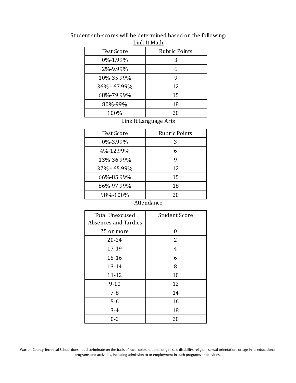| <b>Test Score</b> | <b>Rubric Points</b> |
|-------------------|----------------------|
| 0%-1.99%          | 3                    |
| 2%-9.99%          | 6                    |
| 10%-35.99%        | 9                    |
| 36% - 67.99%      | 12                   |
| 68%-79.99%        | 15                   |
| 80%-99%           | 18                   |
| 100%              | 20                   |

#### Student sub-scores will be determined based on the following: Link It Math

Link It Language Arts

| <b>Test Score</b> | <b>Rubric Points</b> |
|-------------------|----------------------|
| 0%-3.99%          | 3                    |
| 4%-12.99%         | 6                    |
| 13%-36.99%        | 9                    |
| 37% - 65.99%      | 12                   |
| 66%-85.99%        | 15                   |
| 86%-97.99%        | 18                   |
| 98%-100%          | 20                   |

#### **Attendance**

| <b>Total Unexcused</b><br>Absences and Tardies | <b>Student Score</b> |
|------------------------------------------------|----------------------|
| 25 or more                                     | 0                    |
| 20-24                                          | 2                    |
| 17-19                                          | 4                    |
| $15 - 16$                                      | 6                    |
| 13-14                                          | 8                    |
| 11-12                                          | 10                   |
| $9 - 10$                                       | 12                   |
| $7 - 8$                                        | 14                   |
| $5-6$                                          | 16                   |
| $3 - 4$                                        | 18                   |
| $0 - 2$                                        | 20                   |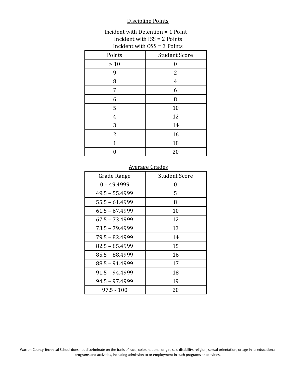#### Discipline Points

### Incident with Detention = 1 Point Incident with ISS = 2 Points Incident with OSS = 3 Points

| Points         | <b>Student Score</b> |
|----------------|----------------------|
| $>10$          | $\overline{0}$       |
| 9              | 2                    |
| 8              | 4                    |
| 7              | 6                    |
| 6              | 8                    |
| 5              | 10                   |
| $\overline{4}$ | 12                   |
| 3              | 14                   |
| $\overline{2}$ | 16                   |
| 1              | 18                   |
|                | 20                   |

#### Average Grades

| Grade Range      | <b>Student Score</b> |  |
|------------------|----------------------|--|
| $0 - 49.4999$    | 0                    |  |
| $49.5 - 55.4999$ | 5                    |  |
| $55.5 - 61.4999$ | 8                    |  |
| $61.5 - 67.4999$ | 10                   |  |
| 67.5 - 73.4999   | 12                   |  |
| 73.5 - 79.4999   | 13                   |  |
| 79.5 - 82.4999   | 14                   |  |
| $82.5 - 85.4999$ | 15                   |  |
| 85.5 - 88.4999   | 16                   |  |
| 88.5 - 91.4999   | 17                   |  |
| 91.5 - 94.4999   | 18                   |  |
| 94.5 - 97.4999   | 19                   |  |
| $97.5 - 100$     | 20                   |  |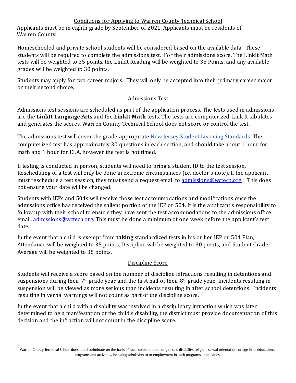# Conditions for Applying to Warren County Technical School

Applicants must be in eighth grade by September of 2021. Applicants must be residents of Warren County.

Homeschooled and private school students will be considered based on the available data. These students will be required to complete the admissions test. For their admissions score, The LinkIt Math tests will be weighted to 35 points, the LinkIt Reading will be weighted to 35 Points, and any available grades will be weighted to 30 points.

Students may apply for two career majors. They will only be accepted into their primary career major or their second choice.

# Admissions Test

Admissions test sessions are scheduled as part of the application process. The tests used in admissions are the **LinkIt Language Arts** and the **LinkIt Math** tests. The tests are computerized. Link It tabulates and generates the scores. Warren County Technical School does not score or control the test.

The admissions test will cover the grade-appropriate New Jersey Student Learning [Standards.](https://www.nj.gov/education/cccs/) The computerized test has approximately 30 questions in each section, and should take about 1 hour for math and 1 hour for ELA, however the test is not timed.

If testing is conducted in person, students will need to bring a student ID to the test session. Rescheduling of a test will only be done in extreme circumstances (i.e. doctor's note). If the applicant must reschedule a test session, they must send a request email to admissions @wctech.org. This does not ensure your date will be changed.

Students with IEPs and 504s will receive those test accommodations and modifications once the admissions office has received the salient portion of the IEP or 504. It is the applicant's responsibility to follow up with their school to ensure they have sent the test accommodations to the admissions office email, admissions@wctech.org. This must be done a minimum of one week before the applicant's test date.

In the event that a child is exempt from **taking** standardized tests in his or her IEP or 504 Plan, Attendance will be weighted to 35 points, Discipline will be weighted to 30 points, and Student Grade Average will be weighted to 35 points.

# Discipline Score

Students will receive a score based on the number of discipline infractions resulting in detentions and suspensions during their 7<sup>th</sup> grade year and the first half of their 8<sup>th</sup> grade year. Incidents resulting in suspension will be viewed as more serious than incidents resulting in after school detentions. Incidents resulting in verbal warnings will not count as part of the discipline score.

In the event that a child with a disability was involved in a disciplinary infraction which was later determined to be a manifestation of the child's disability, the district must provide documentation of this decision and the infraction will not count in the discipline score.